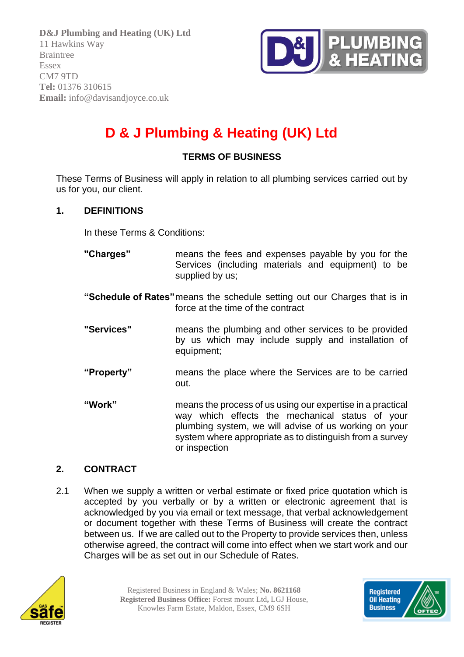

# **D & J Plumbing & Heating (UK) Ltd**

# **TERMS OF BUSINESS**

These Terms of Business will apply in relation to all plumbing services carried out by us for you, our client.

#### **1. DEFINITIONS**

In these Terms & Conditions:

- **"Charges"** means the fees and expenses payable by you for the Services (including materials and equipment) to be supplied by us;
- **"Schedule of Rates"**means the schedule setting out our Charges that is in force at the time of the contract
- **"Services"** means the plumbing and other services to be provided by us which may include supply and installation of equipment;
- **"Property"** means the place where the Services are to be carried out.
- **"Work"** means the process of us using our expertise in a practical way which effects the mechanical status of your plumbing system, we will advise of us working on your system where appropriate as to distinguish from a survey or inspection

#### **2. CONTRACT**

2.1 When we supply a written or verbal estimate or fixed price quotation which is accepted by you verbally or by a written or electronic agreement that is acknowledged by you via email or text message, that verbal acknowledgement or document together with these Terms of Business will create the contract between us. If we are called out to the Property to provide services then, unless otherwise agreed, the contract will come into effect when we start work and our Charges will be as set out in our Schedule of Rates.



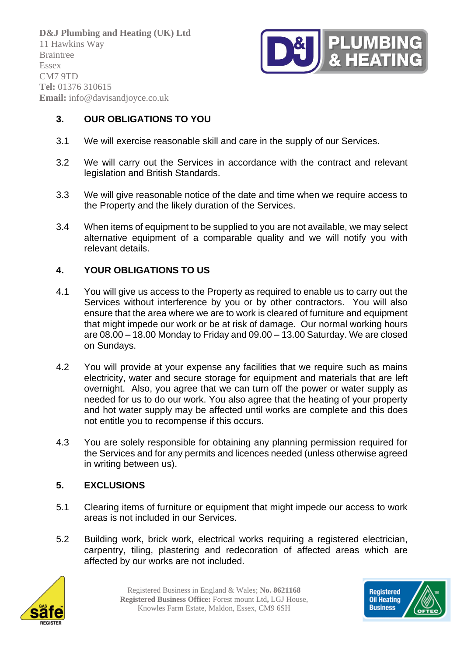

# **3. OUR OBLIGATIONS TO YOU**

- 3.1 We will exercise reasonable skill and care in the supply of our Services.
- 3.2 We will carry out the Services in accordance with the contract and relevant legislation and British Standards.
- 3.3 We will give reasonable notice of the date and time when we require access to the Property and the likely duration of the Services.
- 3.4 When items of equipment to be supplied to you are not available, we may select alternative equipment of a comparable quality and we will notify you with relevant details.

# **4. YOUR OBLIGATIONS TO US**

- 4.1 You will give us access to the Property as required to enable us to carry out the Services without interference by you or by other contractors. You will also ensure that the area where we are to work is cleared of furniture and equipment that might impede our work or be at risk of damage. Our normal working hours are 08.00 – 18.00 Monday to Friday and 09.00 – 13.00 Saturday. We are closed on Sundays.
- 4.2 You will provide at your expense any facilities that we require such as mains electricity, water and secure storage for equipment and materials that are left overnight. Also, you agree that we can turn off the power or water supply as needed for us to do our work. You also agree that the heating of your property and hot water supply may be affected until works are complete and this does not entitle you to recompense if this occurs.
- 4.3 You are solely responsible for obtaining any planning permission required for the Services and for any permits and licences needed (unless otherwise agreed in writing between us).

# **5. EXCLUSIONS**

- 5.1 Clearing items of furniture or equipment that might impede our access to work areas is not included in our Services.
- 5.2 Building work, brick work, electrical works requiring a registered electrician, carpentry, tiling, plastering and redecoration of affected areas which are affected by our works are not included.



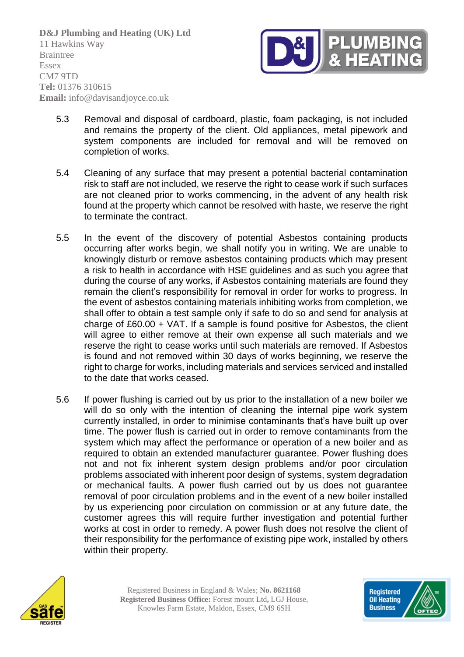

- 5.3 Removal and disposal of cardboard, plastic, foam packaging, is not included and remains the property of the client. Old appliances, metal pipework and system components are included for removal and will be removed on completion of works.
- 5.4 Cleaning of any surface that may present a potential bacterial contamination risk to staff are not included, we reserve the right to cease work if such surfaces are not cleaned prior to works commencing, in the advent of any health risk found at the property which cannot be resolved with haste, we reserve the right to terminate the contract.
- 5.5 In the event of the discovery of potential Asbestos containing products occurring after works begin, we shall notify you in writing. We are unable to knowingly disturb or remove asbestos containing products which may present a risk to health in accordance with HSE guidelines and as such you agree that during the course of any works, if Asbestos containing materials are found they remain the client's responsibility for removal in order for works to progress. In the event of asbestos containing materials inhibiting works from completion, we shall offer to obtain a test sample only if safe to do so and send for analysis at charge of £60.00 + VAT. If a sample is found positive for Asbestos, the client will agree to either remove at their own expense all such materials and we reserve the right to cease works until such materials are removed. If Asbestos is found and not removed within 30 days of works beginning, we reserve the right to charge for works, including materials and services serviced and installed to the date that works ceased.
- 5.6 If power flushing is carried out by us prior to the installation of a new boiler we will do so only with the intention of cleaning the internal pipe work system currently installed, in order to minimise contaminants that's have built up over time. The power flush is carried out in order to remove contaminants from the system which may affect the performance or operation of a new boiler and as required to obtain an extended manufacturer guarantee. Power flushing does not and not fix inherent system design problems and/or poor circulation problems associated with inherent poor design of systems, system degradation or mechanical faults. A power flush carried out by us does not guarantee removal of poor circulation problems and in the event of a new boiler installed by us experiencing poor circulation on commission or at any future date, the customer agrees this will require further investigation and potential further works at cost in order to remedy. A power flush does not resolve the client of their responsibility for the performance of existing pipe work, installed by others within their property.



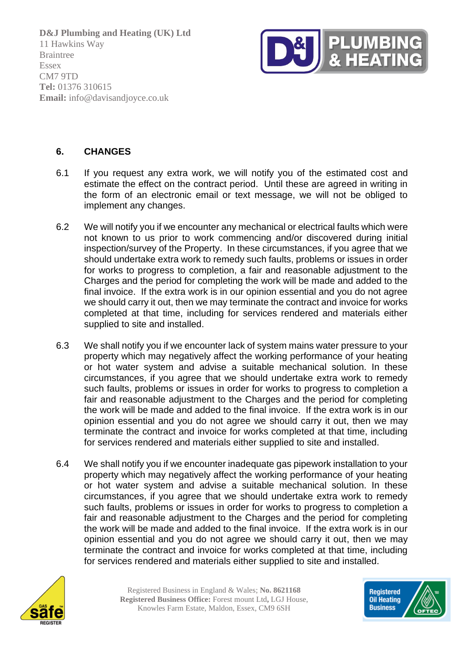

## **6. CHANGES**

- 6.1 If you request any extra work, we will notify you of the estimated cost and estimate the effect on the contract period. Until these are agreed in writing in the form of an electronic email or text message, we will not be obliged to implement any changes.
- 6.2 We will notify you if we encounter any mechanical or electrical faults which were not known to us prior to work commencing and/or discovered during initial inspection/survey of the Property. In these circumstances, if you agree that we should undertake extra work to remedy such faults, problems or issues in order for works to progress to completion, a fair and reasonable adjustment to the Charges and the period for completing the work will be made and added to the final invoice. If the extra work is in our opinion essential and you do not agree we should carry it out, then we may terminate the contract and invoice for works completed at that time, including for services rendered and materials either supplied to site and installed.
- 6.3 We shall notify you if we encounter lack of system mains water pressure to your property which may negatively affect the working performance of your heating or hot water system and advise a suitable mechanical solution. In these circumstances, if you agree that we should undertake extra work to remedy such faults, problems or issues in order for works to progress to completion a fair and reasonable adjustment to the Charges and the period for completing the work will be made and added to the final invoice. If the extra work is in our opinion essential and you do not agree we should carry it out, then we may terminate the contract and invoice for works completed at that time, including for services rendered and materials either supplied to site and installed.
- 6.4 We shall notify you if we encounter inadequate gas pipework installation to your property which may negatively affect the working performance of your heating or hot water system and advise a suitable mechanical solution. In these circumstances, if you agree that we should undertake extra work to remedy such faults, problems or issues in order for works to progress to completion a fair and reasonable adjustment to the Charges and the period for completing the work will be made and added to the final invoice. If the extra work is in our opinion essential and you do not agree we should carry it out, then we may terminate the contract and invoice for works completed at that time, including for services rendered and materials either supplied to site and installed.



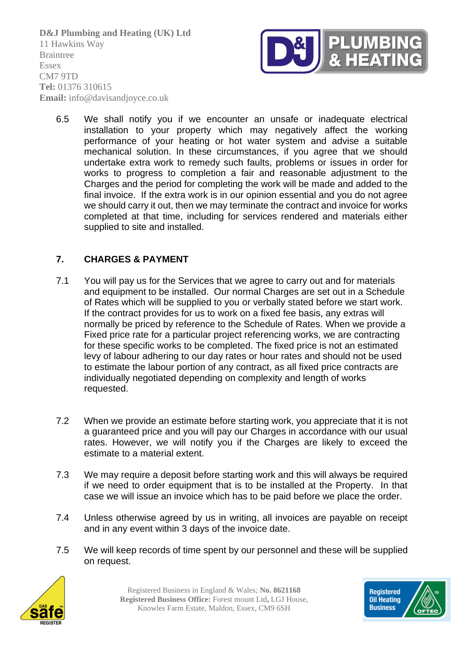

6.5 We shall notify you if we encounter an unsafe or inadequate electrical installation to your property which may negatively affect the working performance of your heating or hot water system and advise a suitable mechanical solution. In these circumstances, if you agree that we should undertake extra work to remedy such faults, problems or issues in order for works to progress to completion a fair and reasonable adjustment to the Charges and the period for completing the work will be made and added to the final invoice. If the extra work is in our opinion essential and you do not agree we should carry it out, then we may terminate the contract and invoice for works completed at that time, including for services rendered and materials either supplied to site and installed.

# **7. CHARGES & PAYMENT**

- 7.1 You will pay us for the Services that we agree to carry out and for materials and equipment to be installed. Our normal Charges are set out in a Schedule of Rates which will be supplied to you or verbally stated before we start work. If the contract provides for us to work on a fixed fee basis, any extras will normally be priced by reference to the Schedule of Rates. When we provide a Fixed price rate for a particular project referencing works, we are contracting for these specific works to be completed. The fixed price is not an estimated levy of labour adhering to our day rates or hour rates and should not be used to estimate the labour portion of any contract, as all fixed price contracts are individually negotiated depending on complexity and length of works requested.
- 7.2 When we provide an estimate before starting work, you appreciate that it is not a guaranteed price and you will pay our Charges in accordance with our usual rates. However, we will notify you if the Charges are likely to exceed the estimate to a material extent.
- 7.3 We may require a deposit before starting work and this will always be required if we need to order equipment that is to be installed at the Property. In that case we will issue an invoice which has to be paid before we place the order.
- 7.4 Unless otherwise agreed by us in writing, all invoices are payable on receipt and in any event within 3 days of the invoice date.
- 7.5 We will keep records of time spent by our personnel and these will be supplied on request.



Registered Business in England & Wales; **No. 8621168 Registered Business Office:** Forest mount Ltd**,** LGJ House, Knowles Farm Estate, Maldon, Essex, CM9 6SH

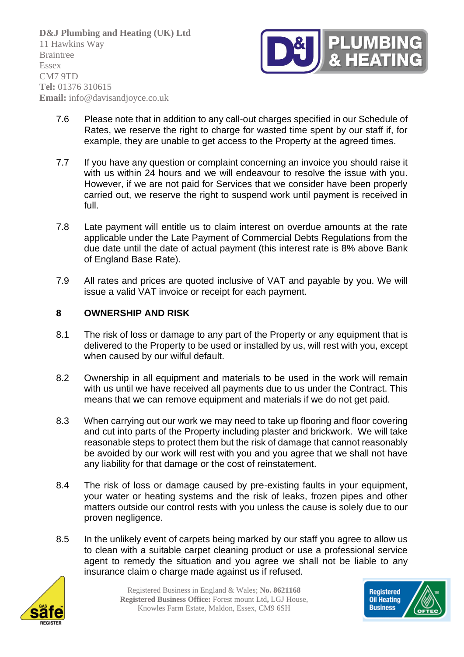

- 7.6 Please note that in addition to any call-out charges specified in our Schedule of Rates, we reserve the right to charge for wasted time spent by our staff if, for example, they are unable to get access to the Property at the agreed times.
- 7.7 If you have any question or complaint concerning an invoice you should raise it with us within 24 hours and we will endeavour to resolve the issue with you. However, if we are not paid for Services that we consider have been properly carried out, we reserve the right to suspend work until payment is received in full.
- 7.8 Late payment will entitle us to claim interest on overdue amounts at the rate applicable under the Late Payment of Commercial Debts Regulations from the due date until the date of actual payment (this interest rate is 8% above Bank of England Base Rate).
- 7.9 All rates and prices are quoted inclusive of VAT and payable by you. We will issue a valid VAT invoice or receipt for each payment.

## **8 OWNERSHIP AND RISK**

- 8.1 The risk of loss or damage to any part of the Property or any equipment that is delivered to the Property to be used or installed by us, will rest with you, except when caused by our wilful default.
- 8.2 Ownership in all equipment and materials to be used in the work will remain with us until we have received all payments due to us under the Contract. This means that we can remove equipment and materials if we do not get paid.
- 8.3 When carrying out our work we may need to take up flooring and floor covering and cut into parts of the Property including plaster and brickwork. We will take reasonable steps to protect them but the risk of damage that cannot reasonably be avoided by our work will rest with you and you agree that we shall not have any liability for that damage or the cost of reinstatement.
- 8.4 The risk of loss or damage caused by pre-existing faults in your equipment. your water or heating systems and the risk of leaks, frozen pipes and other matters outside our control rests with you unless the cause is solely due to our proven negligence.
- 8.5 In the unlikely event of carpets being marked by our staff you agree to allow us to clean with a suitable carpet cleaning product or use a professional service agent to remedy the situation and you agree we shall not be liable to any insurance claim o charge made against us if refused.



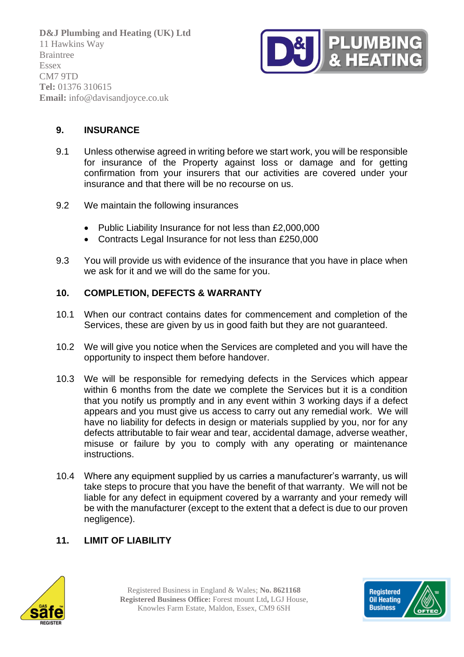

# **9. INSURANCE**

- 9.1 Unless otherwise agreed in writing before we start work, you will be responsible for insurance of the Property against loss or damage and for getting confirmation from your insurers that our activities are covered under your insurance and that there will be no recourse on us.
- 9.2 We maintain the following insurances
	- Public Liability Insurance for not less than £2,000,000
	- Contracts Legal Insurance for not less than £250,000
- 9.3 You will provide us with evidence of the insurance that you have in place when we ask for it and we will do the same for you.

#### **10. COMPLETION, DEFECTS & WARRANTY**

- 10.1 When our contract contains dates for commencement and completion of the Services, these are given by us in good faith but they are not guaranteed.
- 10.2 We will give you notice when the Services are completed and you will have the opportunity to inspect them before handover.
- 10.3 We will be responsible for remedying defects in the Services which appear within 6 months from the date we complete the Services but it is a condition that you notify us promptly and in any event within 3 working days if a defect appears and you must give us access to carry out any remedial work. We will have no liability for defects in design or materials supplied by you, nor for any defects attributable to fair wear and tear, accidental damage, adverse weather, misuse or failure by you to comply with any operating or maintenance instructions.
- 10.4 Where any equipment supplied by us carries a manufacturer's warranty, us will take steps to procure that you have the benefit of that warranty. We will not be liable for any defect in equipment covered by a warranty and your remedy will be with the manufacturer (except to the extent that a defect is due to our proven negligence).

# **11. LIMIT OF LIABILITY**



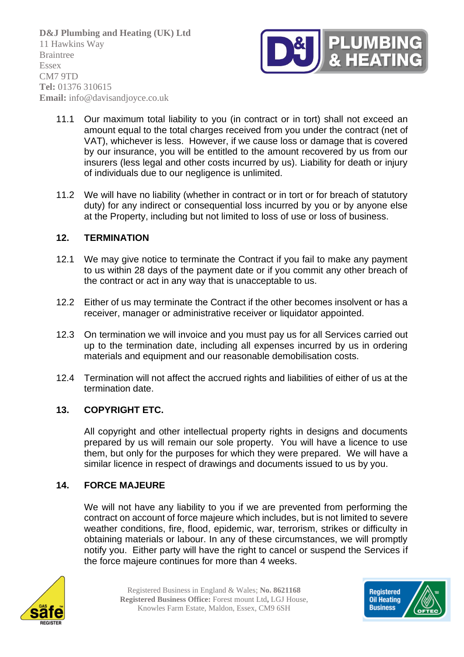

- 11.1 Our maximum total liability to you (in contract or in tort) shall not exceed an amount equal to the total charges received from you under the contract (net of VAT), whichever is less. However, if we cause loss or damage that is covered by our insurance, you will be entitled to the amount recovered by us from our insurers (less legal and other costs incurred by us). Liability for death or injury of individuals due to our negligence is unlimited.
- 11.2 We will have no liability (whether in contract or in tort or for breach of statutory duty) for any indirect or consequential loss incurred by you or by anyone else at the Property, including but not limited to loss of use or loss of business.

## **12. TERMINATION**

- 12.1 We may give notice to terminate the Contract if you fail to make any payment to us within 28 days of the payment date or if you commit any other breach of the contract or act in any way that is unacceptable to us.
- 12.2 Either of us may terminate the Contract if the other becomes insolvent or has a receiver, manager or administrative receiver or liquidator appointed.
- 12.3 On termination we will invoice and you must pay us for all Services carried out up to the termination date, including all expenses incurred by us in ordering materials and equipment and our reasonable demobilisation costs.
- 12.4 Termination will not affect the accrued rights and liabilities of either of us at the termination date.

#### **13. COPYRIGHT ETC.**

All copyright and other intellectual property rights in designs and documents prepared by us will remain our sole property. You will have a licence to use them, but only for the purposes for which they were prepared. We will have a similar licence in respect of drawings and documents issued to us by you.

#### **14. FORCE MAJEURE**

We will not have any liability to you if we are prevented from performing the contract on account of force majeure which includes, but is not limited to severe weather conditions, fire, flood, epidemic, war, terrorism, strikes or difficulty in obtaining materials or labour. In any of these circumstances, we will promptly notify you. Either party will have the right to cancel or suspend the Services if the force majeure continues for more than 4 weeks.



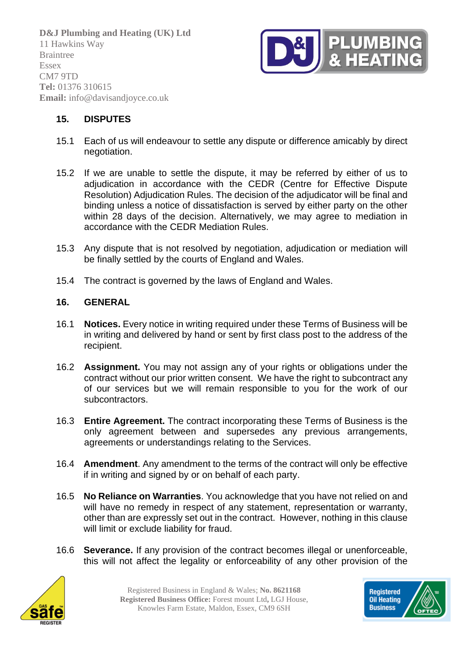

## **15. DISPUTES**

- 15.1 Each of us will endeavour to settle any dispute or difference amicably by direct negotiation.
- 15.2 If we are unable to settle the dispute, it may be referred by either of us to adjudication in accordance with the CEDR (Centre for Effective Dispute Resolution) Adjudication Rules. The decision of the adjudicator will be final and binding unless a notice of dissatisfaction is served by either party on the other within 28 days of the decision. Alternatively, we may agree to mediation in accordance with the CEDR Mediation Rules.
- 15.3 Any dispute that is not resolved by negotiation, adjudication or mediation will be finally settled by the courts of England and Wales.
- 15.4 The contract is governed by the laws of England and Wales.

#### **16. GENERAL**

- 16.1 **Notices.** Every notice in writing required under these Terms of Business will be in writing and delivered by hand or sent by first class post to the address of the recipient.
- 16.2 **Assignment.** You may not assign any of your rights or obligations under the contract without our prior written consent. We have the right to subcontract any of our services but we will remain responsible to you for the work of our subcontractors.
- 16.3 **Entire Agreement.** The contract incorporating these Terms of Business is the only agreement between and supersedes any previous arrangements, agreements or understandings relating to the Services.
- 16.4 **Amendment**. Any amendment to the terms of the contract will only be effective if in writing and signed by or on behalf of each party.
- 16.5 **No Reliance on Warranties**. You acknowledge that you have not relied on and will have no remedy in respect of any statement, representation or warranty, other than are expressly set out in the contract. However, nothing in this clause will limit or exclude liability for fraud.
- 16.6 **Severance.** If any provision of the contract becomes illegal or unenforceable, this will not affect the legality or enforceability of any other provision of the



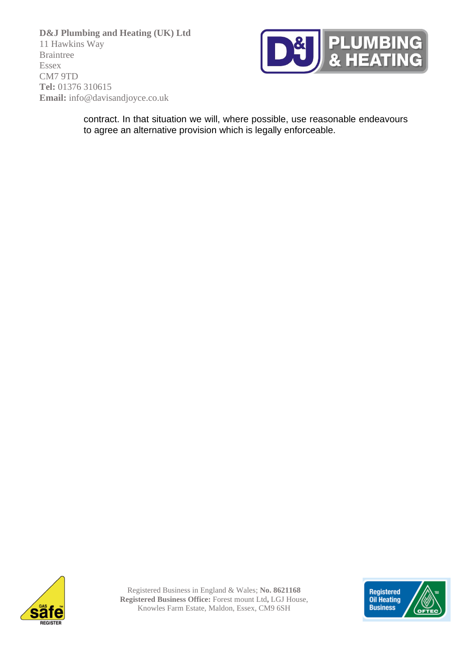

contract. In that situation we will, where possible, use reasonable endeavours to agree an alternative provision which is legally enforceable.



Registered Business in England & Wales; **No. 8621168 Registered Business Office:** Forest mount Ltd**,** LGJ House, Knowles Farm Estate, Maldon, Essex, CM9 6SH

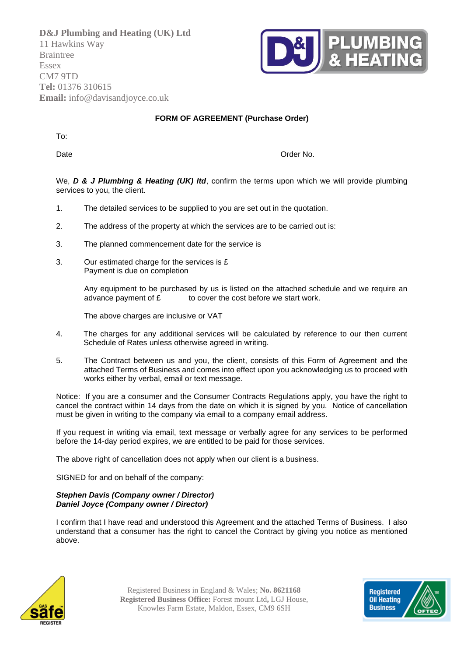

#### **FORM OF AGREEMENT (Purchase Order)**

To:

Date **Date** Order No.

We, **D & J Plumbing & Heating (UK) ltd**, confirm the terms upon which we will provide plumbing services to you, the client.

- 1. The detailed services to be supplied to you are set out in the quotation.
- 2. The address of the property at which the services are to be carried out is:
- 3. The planned commencement date for the service is
- 3. Our estimated charge for the services is £ Payment is due on completion

Any equipment to be purchased by us is listed on the attached schedule and we require an advance payment of  $\mathbf E$  to cover the cost before we start work.

The above charges are inclusive or VAT

- 4. The charges for any additional services will be calculated by reference to our then current Schedule of Rates unless otherwise agreed in writing.
- 5. The Contract between us and you, the client, consists of this Form of Agreement and the attached Terms of Business and comes into effect upon you acknowledging us to proceed with works either by verbal, email or text message.

Notice: If you are a consumer and the Consumer Contracts Regulations apply, you have the right to cancel the contract within 14 days from the date on which it is signed by you. Notice of cancellation must be given in writing to the company via email to a company email address.

If you request in writing via email, text message or verbally agree for any services to be performed before the 14-day period expires, we are entitled to be paid for those services.

The above right of cancellation does not apply when our client is a business.

SIGNED for and on behalf of the company:

#### *Stephen Davis (Company owner / Director) Daniel Joyce (Company owner / Director)*

I confirm that I have read and understood this Agreement and the attached Terms of Business. I also understand that a consumer has the right to cancel the Contract by giving you notice as mentioned above.



Registered Business in England & Wales; **No. 8621168 Registered Business Office:** Forest mount Ltd**,** LGJ House, Knowles Farm Estate, Maldon, Essex, CM9 6SH